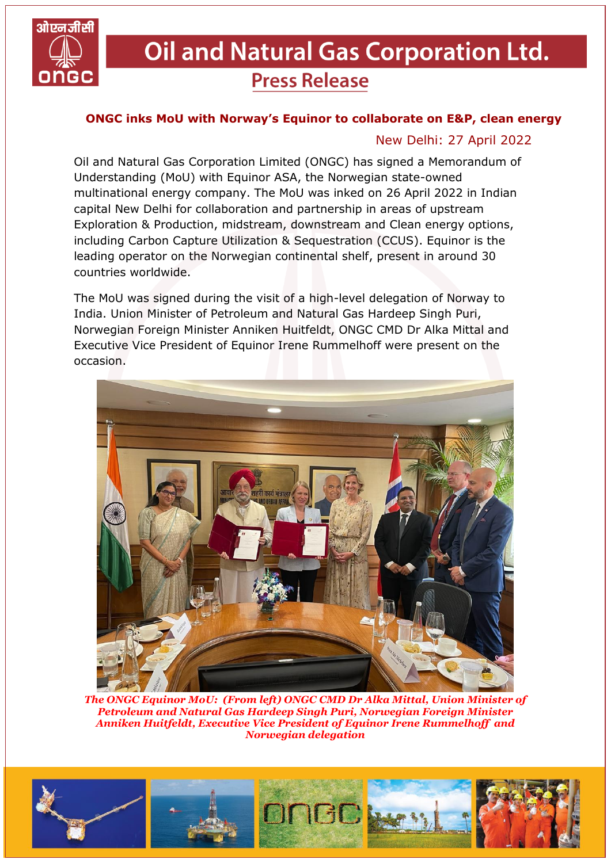

## **Oil and Natural Gas Corporation Ltd. Press Release**

## **ONGC inks MoU with Norway's Equinor to collaborate on E&P, clean energy**

## New Delhi: 27 April 2022

Oil and Natural Gas Corporation Limited (ONGC) has signed a Memorandum of Understanding (MoU) with Equinor ASA, the Norwegian state-owned multinational energy company. The MoU was inked on 26 April 2022 in Indian capital New Delhi for collaboration and partnership in areas of upstream Exploration & Production, midstream, downstream and Clean energy options, including Carbon Capture Utilization & Sequestration (CCUS). Equinor is the leading operator on the Norwegian continental shelf, present in around 30 countries worldwide.

The MoU was signed during the visit of a high-level delegation of Norway to India. Union Minister of Petroleum and Natural Gas Hardeep Singh Puri, Norwegian Foreign Minister Anniken Huitfeldt, ONGC CMD Dr Alka Mittal and Executive Vice President of Equinor Irene Rummelhoff were present on the occasion.



*The ONGC Equinor MoU: (From left) ONGC CMD Dr Alka Mittal, Union Minister of Petroleum and Natural Gas Hardeep Singh Puri, Norwegian Foreign Minister Anniken Huitfeldt, Executive Vice President of Equinor Irene Rummelhoff and Norwegian delegation*